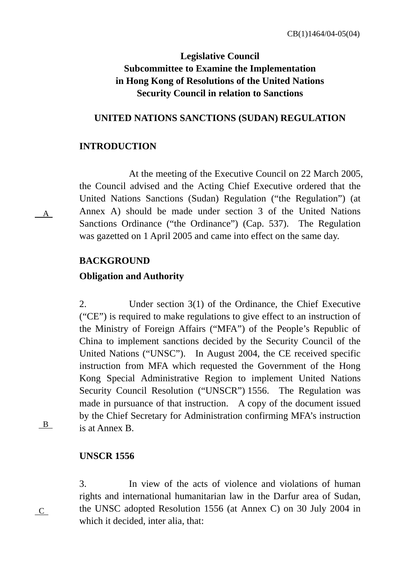## **Legislative Council Subcommittee to Examine the Implementation in Hong Kong of Resolutions of the United Nations Security Council in relation to Sanctions**

### **UNITED NATIONS SANCTIONS (SUDAN) REGULATION**

### **INTRODUCTION**

At the meeting of the Executive Council on 22 March 2005, the Council advised and the Acting Chief Executive ordered that the United Nations Sanctions (Sudan) Regulation ("the Regulation") (at Annex A) should be made under section 3 of the United Nations Sanctions Ordinance ("the Ordinance") (Cap. 537). The Regulation was gazetted on 1 April 2005 and came into effect on the same day.

### **BACKGROUND**

### **Obligation and Authority**

2. Under section 3(1) of the Ordinance, the Chief Executive ("CE") is required to make regulations to give effect to an instruction of the Ministry of Foreign Affairs ("MFA") of the People's Republic of China to implement sanctions decided by the Security Council of the United Nations ("UNSC"). In August 2004, the CE received specific instruction from MFA which requested the Government of the Hong Kong Special Administrative Region to implement United Nations Security Council Resolution ("UNSCR") 1556. The Regulation was made in pursuance of that instruction. A copy of the document issued by the Chief Secretary for Administration confirming MFA's instruction is at Annex B.

B

C

A

## **UNSCR 1556**

3. In view of the acts of violence and violations of human rights and international humanitarian law in the Darfur area of Sudan, the UNSC adopted Resolution 1556 (at Annex C) on 30 July 2004 in which it decided, inter alia, that: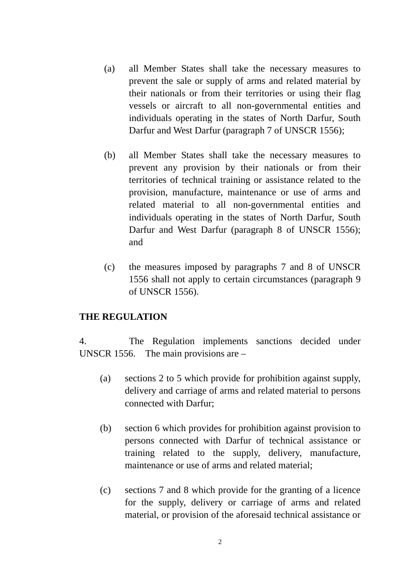- (a) all Member States shall take the necessary measures to prevent the sale or supply of arms and related material by their nationals or from their territories or using their flag vessels or aircraft to all non-governmental entities and individuals operating in the states of North Darfur, South Darfur and West Darfur (paragraph 7 of UNSCR 1556);
- (b) all Member States shall take the necessary measures to prevent any provision by their nationals or from their territories of technical training or assistance related to the provision, manufacture, maintenance or use of arms and related material to all non-governmental entities and individuals operating in the states of North Darfur, South Darfur and West Darfur (paragraph 8 of UNSCR 1556); and
- (c) the measures imposed by paragraphs 7 and 8 of UNSCR 1556 shall not apply to certain circumstances (paragraph 9 of UNSCR 1556).

### **THE REGULATION**

4. The Regulation implements sanctions decided under UNSCR 1556. The main provisions are –

- (a) sections 2 to 5 which provide for prohibition against supply, delivery and carriage of arms and related material to persons connected with Darfur;
- (b) section 6 which provides for prohibition against provision to persons connected with Darfur of technical assistance or training related to the supply, delivery, manufacture, maintenance or use of arms and related material;
- (c) sections 7 and 8 which provide for the granting of a licence for the supply, delivery or carriage of arms and related material, or provision of the aforesaid technical assistance or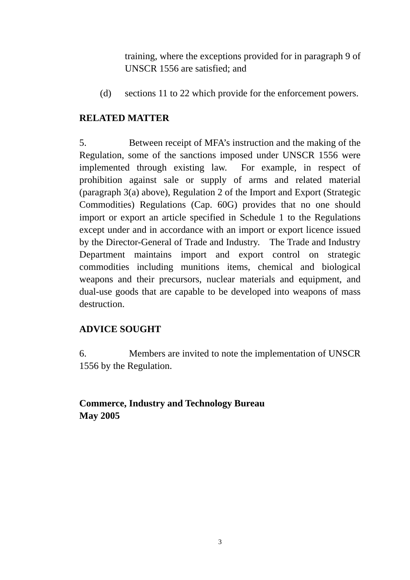training, where the exceptions provided for in paragraph 9 of UNSCR 1556 are satisfied; and

(d) sections 11 to 22 which provide for the enforcement powers.

## **RELATED MATTER**

5. Between receipt of MFA's instruction and the making of the Regulation, some of the sanctions imposed under UNSCR 1556 were implemented through existing law. For example, in respect of prohibition against sale or supply of arms and related material (paragraph 3(a) above), Regulation 2 of the Import and Export (Strategic Commodities) Regulations (Cap. 60G) provides that no one should import or export an article specified in Schedule 1 to the Regulations except under and in accordance with an import or export licence issued by the Director-General of Trade and Industry. The Trade and Industry Department maintains import and export control on strategic commodities including munitions items, chemical and biological weapons and their precursors, nuclear materials and equipment, and dual-use goods that are capable to be developed into weapons of mass destruction.

## **ADVICE SOUGHT**

6. Members are invited to note the implementation of UNSCR 1556 by the Regulation.

## **Commerce, Industry and Technology Bureau May 2005**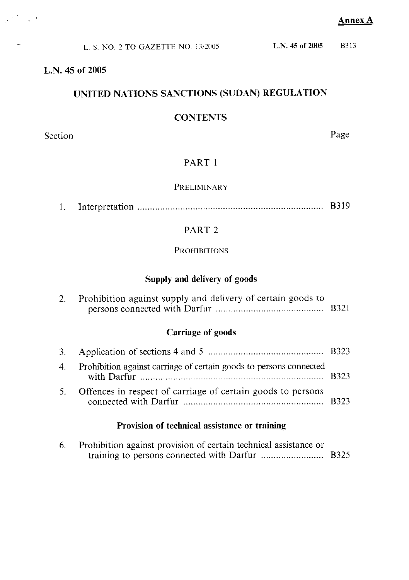**B**313

| L. S. NO. 2 TO GAZETTE NO. 13/2005 | L.N. 45 of 2005 |
|------------------------------------|-----------------|
|------------------------------------|-----------------|

## L.N. 45 of 2005

## UNITED NATIONS SANCTIONS (SUDAN) REGULATION

### **CONTENTS**

Section

 $\frac{1}{\mathbf{P}^{\text{max}}}\sum_{i=1}^{N} \frac{1}{\mathbf{P}^{\text{max}}_{i}} \mathbf{P}^{(i)}_{i}$ 

Page

## PART 1

### PRELIMINARY

|--|--|--|--|

## PART<sub>2</sub>

## **PROHIBITIONS**

## Supply and delivery of goods

| Prohibition against supply and delivery of certain goods to |  |
|-------------------------------------------------------------|--|
|                                                             |  |

## **Carriage of goods**

| 4. Prohibition against carriage of certain goods to persons connected |  |
|-----------------------------------------------------------------------|--|
| 5. Offences in respect of carriage of certain goods to persons        |  |

## Provision of technical assistance or training

| Prohibition against provision of certain technical assistance or |  |
|------------------------------------------------------------------|--|
|                                                                  |  |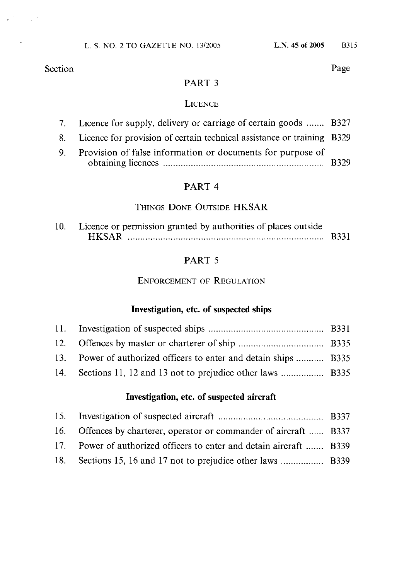$\sim 10^{-12}$ 

Page

## PART<sub>3</sub>

### **LICENCE**

| 7. Licence for supply, delivery or carriage of certain goods  B327        |  |
|---------------------------------------------------------------------------|--|
| 8. Licence for provision of certain technical assistance or training B329 |  |
| 9. Provision of false information or documents for purpose of             |  |

## PART 4

## THINGS DONE OUTSIDE HKSAR

| 10. Licence or permission granted by authorities of places outside |  |
|--------------------------------------------------------------------|--|
| <b>HKSAR</b>                                                       |  |

## PART 5

## **ENFORCEMENT OF REGULATION**

## Investigation, etc. of suspected ships

| 13. Power of authorized officers to enter and detain ships  B335 |  |
|------------------------------------------------------------------|--|
|                                                                  |  |

## Investigation, etc. of suspected aircraft

| 16. Offences by charterer, operator or commander of aircraft  B337  |  |
|---------------------------------------------------------------------|--|
| 17. Power of authorized officers to enter and detain aircraft  B339 |  |
| 18. Sections 15, 16 and 17 not to prejudice other laws  B339        |  |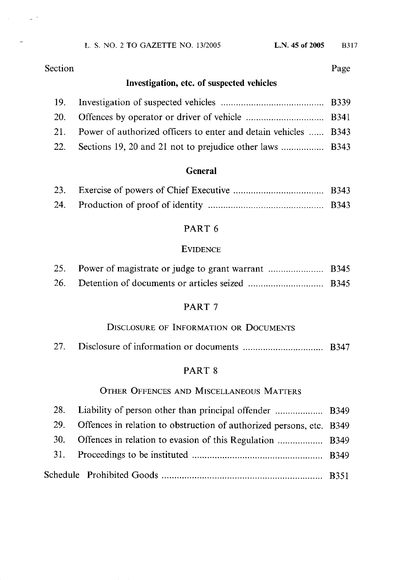L. S. NO. 2 TO GAZETTE NO. 13/2005

Section

 $\mathcal{L}^{(1)}$ 

## Page

## Investigation, etc. of suspected vehicles

| 21. Power of authorized officers to enter and detain vehicles  B343 |  |
|---------------------------------------------------------------------|--|
|                                                                     |  |

### **General**

## PART 6

### **EVIDENCE**

## PART<sub>7</sub>

## DISCLOSURE OF INFORMATION OR DOCUMENTS

| 27. |  |
|-----|--|
|-----|--|

## PART 8

## OTHER OFFENCES AND MISCELLANEOUS MATTERS

| 29. | Offences in relation to obstruction of authorized persons, etc. B349 |  |
|-----|----------------------------------------------------------------------|--|
| 30. |                                                                      |  |
|     |                                                                      |  |
|     |                                                                      |  |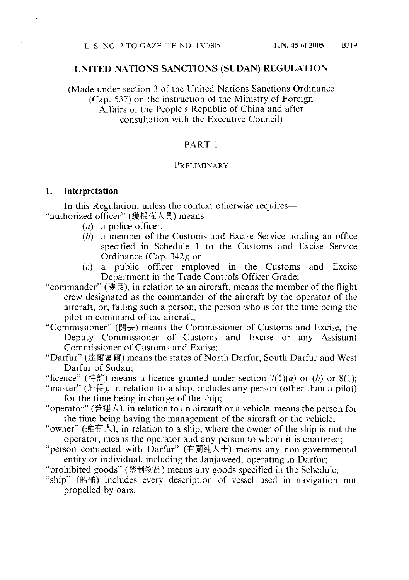### UNITED NATIONS SANCTIONS (SUDAN) REGULATION

(Made under section 3 of the United Nations Sanctions Ordinance) (Cap. 537) on the instruction of the Ministry of Foreign Affairs of the People's Republic of China and after consultation with the Executive Council)

### PART 1

### PRELIMINARY

#### Interpretation 1.

In this Regulation, unless the context otherwise requires— "authorized officer" (獲授權人員) means-

- $(a)$  a police officer;
- $(b)$  a member of the Customs and Excise Service holding an office specified in Schedule 1 to the Customs and Excise Service Ordinance (Cap. 342); or
- public officer employed in the Customs and Excise  $(c)$  a Department in the Trade Controls Officer Grade;
- "commander" (機長), in relation to an aircraft, means the member of the flight crew designated as the commander of the aircraft by the operator of the aircraft, or, failing such a person, the person who is for the time being the pilot in command of the aircraft;
- "Commissioner" (關長) means the Commissioner of Customs and Excise, the Deputy Commissioner of Customs and Excise or any Assistant Commissioner of Customs and Excise;
- "Darfur" (達爾富爾) means the states of North Darfur, South Darfur and West Darfur of Sudan:

"licence" (特許) means a licence granted under section  $7(1)(a)$  or  $(b)$  or  $8(1)$ ;

- "master" (船長), in relation to a ship, includes any person (other than a pilot) for the time being in charge of the ship;
- "operator" (營運人), in relation to an aircraft or a vehicle, means the person for the time being having the management of the aircraft or the vehicle;
- "owner" (擁有人), in relation to a ship, where the owner of the ship is not the operator, means the operator and any person to whom it is chartered;
- "person connected with Darfur" (有關連人士) means any non-governmental entity or individual, including the Janjaweed, operating in Darfur;
- "prohibited goods" (禁制物品) means any goods specified in the Schedule;
- "ship" (船舶) includes every description of vessel used in navigation not propelled by oars.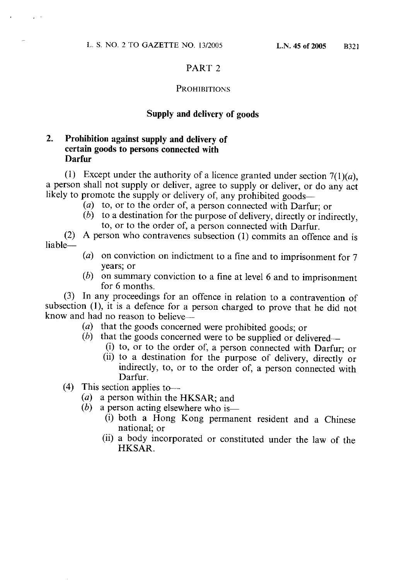### PART<sub>2</sub>

### **PROHIBITIONS**

### Supply and delivery of goods

#### 2. Prohibition against supply and delivery of certain goods to persons connected with **Darfur**

(1) Except under the authority of a licence granted under section  $7(1)(a)$ , a person shall not supply or deliver, agree to supply or deliver, or do any act likely to promote the supply or delivery of, any prohibited goods-

- (a) to, or to the order of, a person connected with Darfur; or
- $(b)$  to a destination for the purpose of delivery, directly or indirectly, to, or to the order of, a person connected with Darfur.

(2) A person who contravenes subsection (1) commits an offence and is liable-

- (a) on conviction on indictment to a fine and to imprisonment for  $7$ years; or
- $(b)$  on summary conviction to a fine at level 6 and to imprisonment for 6 months.

(3) In any proceedings for an offence in relation to a contravention of subsection (1), it is a defence for a person charged to prove that he did not know and had no reason to believe-

- (a) that the goods concerned were prohibited goods; or
- that the goods concerned were to be supplied or delivered—  $(b)$ 
	- (i) to, or to the order of, a person connected with Darfur; or
	- (ii) to a destination for the purpose of delivery, directly or indirectly, to, or to the order of, a person connected with Darfur.
- $(4)$  This section applies to-
	- (a) a person within the HKSAR; and
	- $(b)$  a person acting elsewhere who is—
		- (i) both a Hong Kong permanent resident and a Chinese national: or
		- (ii) a body incorporated or constituted under the law of the HKSAR.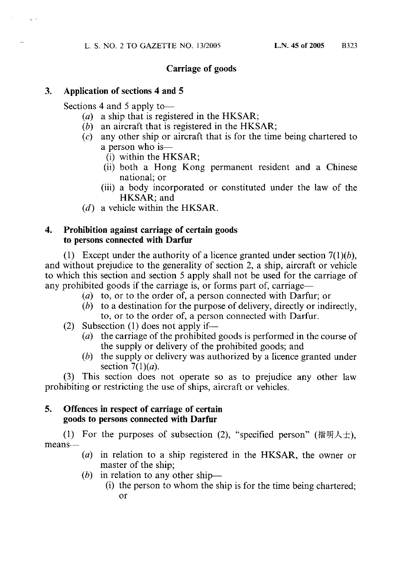## **Carriage of goods**

#### 3. Application of sections 4 and 5

Sections 4 and 5 apply to-

- $(a)$  a ship that is registered in the HKSAR;
- $(b)$  an aircraft that is registered in the HKSAR;
- any other ship or aircraft that is for the time being chartered to  $(c)$ a person who is-
	- $(i)$  within the HKSAR;
	- (ii) both a Hong Kong permanent resident and a Chinese national; or
	- (iii) a body incorporated or constituted under the law of the HKSAR: and
- $(d)$  a vehicle within the HKSAR.

#### $\overline{4}$ . Prohibition against carriage of certain goods to persons connected with Darfur

(1) Except under the authority of a licence granted under section  $7(1)(b)$ , and without prejudice to the generality of section 2, a ship, aircraft or vehicle to which this section and section 5 apply shall not be used for the carriage of any prohibited goods if the carriage is, or forms part of, carriage—

- (a) to, or to the order of, a person connected with Darfur; or
- $(b)$  to a destination for the purpose of delivery, directly or indirectly, to, or to the order of, a person connected with Darfur.
- (2) Subsection (1) does not apply if—
	- (*a*) the carriage of the prohibited goods is performed in the course of the supply or delivery of the prohibited goods; and
	- $(b)$  the supply or delivery was authorized by a licence granted under section  $7(1)(a)$ .

This section does not operate so as to prejudice any other law  $(3)$ prohibiting or restricting the use of ships, aircraft or vehicles.

#### 5. Offences in respect of carriage of certain goods to persons connected with Darfur

(1) For the purposes of subsection (2), "specified person" (指明人士), means-

- $(a)$  in relation to a ship registered in the HKSAR, the owner or master of the ship:
- (b) in relation to any other ship—
	- (i) the person to whom the ship is for the time being chartered; or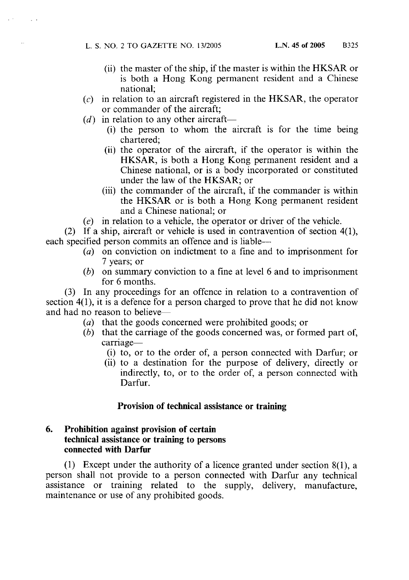L. S. NO. 2 TO GAZETTE NO. 13/2005

- (ii) the master of the ship, if the master is within the HKSAR or is both a Hong Kong permanent resident and a Chinese national:
- in relation to an aircraft registered in the HKSAR, the operator  $(c)$ or commander of the aircraft:
- $(d)$  in relation to any other aircraft—
	- (i) the person to whom the aircraft is for the time being chartered;
	- (ii) the operator of the aircraft, if the operator is within the HKSAR, is both a Hong Kong permanent resident and a Chinese national, or is a body incorporated or constituted under the law of the HKSAR; or
	- (iii) the commander of the aircraft, if the commander is within the HKSAR or is both a Hong Kong permanent resident and a Chinese national: or
- $(e)$  in relation to a vehicle, the operator or driver of the vehicle.

(2) If a ship, aircraft or vehicle is used in contravention of section  $4(1)$ , each specified person commits an offence and is liable-

- $(a)$  on conviction on indictment to a fine and to imprisonment for 7 years; or
- ( $b$ ) on summary conviction to a fine at level 6 and to imprisonment for 6 months.

(3) In any proceedings for an offence in relation to a contravention of section  $4(1)$ , it is a defence for a person charged to prove that he did not know and had no reason to believe-

- (a) that the goods concerned were prohibited goods; or
- $(b)$  that the carriage of the goods concerned was, or formed part of, carriage-
	- (i) to, or to the order of, a person connected with Darfur; or
	- (ii) to a destination for the purpose of delivery, directly or indirectly, to, or to the order of, a person connected with Darfur.

### Provision of technical assistance or training

#### 6. Prohibition against provision of certain technical assistance or training to persons connected with Darfur

(1) Except under the authority of a licence granted under section  $8(1)$ , a person shall not provide to a person connected with Darfur any technical assistance or training related to the supply, delivery, manufacture, maintenance or use of any prohibited goods.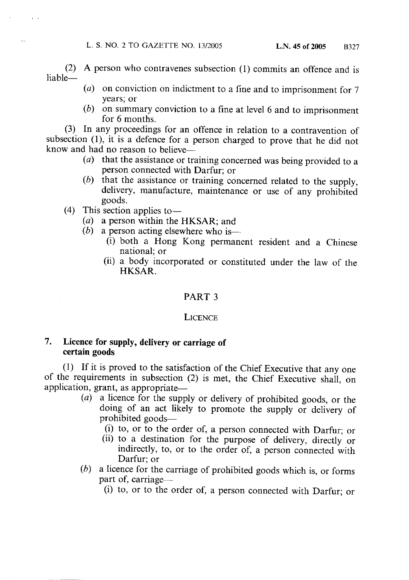(2) A person who contravenes subsection (1) commits an offence and is liable-

- (a) on conviction on indictment to a fine and to imprisonment for  $7$ years; or
- $(b)$  on summary conviction to a fine at level 6 and to imprisonment for 6 months.

(3) In any proceedings for an offence in relation to a contravention of subsection (1), it is a defence for a person charged to prove that he did not know and had no reason to believe—

- ( $a$ ) that the assistance or training concerned was being provided to a person connected with Darfur: or
- (b) that the assistance or training concerned related to the supply, delivery, manufacture, maintenance or use of any prohibited goods.
- $(4)$  This section applies to
	- (a) a person within the HKSAR; and
	- $(b)$ a person acting elsewhere who is—
		- (i) both a Hong Kong permanent resident and a Chinese national: or
		- (ii) a body incorporated or constituted under the law of the HKSAR.

### PART<sub>3</sub>

### **LICENCE**

#### 7. Licence for supply, delivery or carriage of certain goods

(1) If it is proved to the satisfaction of the Chief Executive that any one of the requirements in subsection (2) is met, the Chief Executive shall, on application, grant, as appropriate—

- $(a)$  a licence for the supply or delivery of prohibited goods, or the doing of an act likely to promote the supply or delivery of prohibited goods-
	- (i) to, or to the order of, a person connected with Darfur; or
	- (ii) to a destination for the purpose of delivery, directly or indirectly, to, or to the order of, a person connected with Darfur; or
- a licence for the carriage of prohibited goods which is, or forms  $(b)$ part of, carriage—
	- (i) to, or to the order of, a person connected with Darfur; or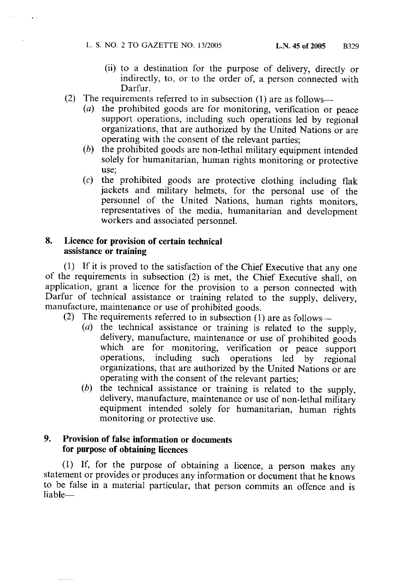L. S. NO. 2 TO GAZETTE NO. 13/2005

 $\alpha=0$  .

- (ii) to a destination for the purpose of delivery, directly or indirectly, to, or to the order of, a person connected with Darfur.
- (2) The requirements referred to in subsection (1) are as follows—
	- (a) the prohibited goods are for monitoring, verification or peace support operations, including such operations led by regional organizations, that are authorized by the United Nations or are operating with the consent of the relevant parties;
	- (b) the prohibited goods are non-lethal military equipment intended solely for humanitarian, human rights monitoring or protective use;
	- the prohibited goods are protective clothing including flak  $(c)$ jackets and military helmets, for the personal use of the personnel of the United Nations, human rights monitors, representatives of the media, humanitarian and development workers and associated personnel.

#### 8. Licence for provision of certain technical assistance or training

(1) If it is proved to the satisfaction of the Chief Executive that any one of the requirements in subsection (2) is met, the Chief Executive shall, on application, grant a licence for the provision to a person connected with Darfur of technical assistance or training related to the supply, delivery, manufacture, maintenance or use of prohibited goods.

- The requirements referred to in subsection (1) are as follows- $(2)$ 
	- (a) the technical assistance or training is related to the supply, delivery, manufacture, maintenance or use of prohibited goods which are for monitoring, verification or peace support including such operations led by operations, regional organizations, that are authorized by the United Nations or are operating with the consent of the relevant parties;
	- (b) the technical assistance or training is related to the supply, delivery, manufacture, maintenance or use of non-lethal military equipment intended solely for humanitarian, human rights monitoring or protective use.

#### 9. Provision of false information or documents for purpose of obtaining licences

(1) If, for the purpose of obtaining a licence, a person makes any statement or provides or produces any information or document that he knows to be false in a material particular, that person commits an offence and is liable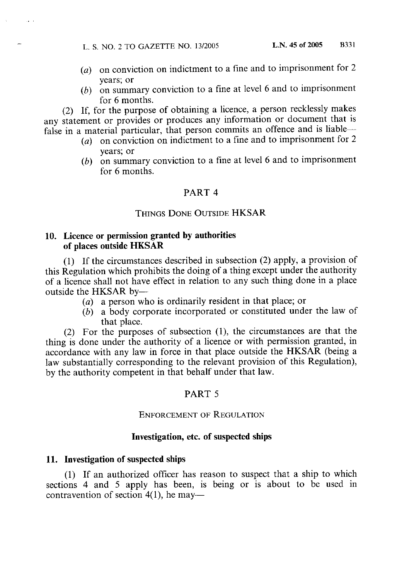L. S. NO. 2 TO GAZETTE NO. 13/2005

 $\sim$   $\sim$ 

- (a) on conviction on indictment to a fine and to imprisonment for  $2$ vears; or
- (b) on summary conviction to a fine at level 6 and to imprisonment for 6 months.

(2) If, for the purpose of obtaining a licence, a person recklessly makes any statement or provides or produces any information or document that is false in a material particular, that person commits an offence and is liable-

- (a) on conviction on indictment to a fine and to imprisonment for 2 vears: or
- $(b)$  on summary conviction to a fine at level 6 and to imprisonment for 6 months.

### PART<sub>4</sub>

### **THINGS DONE OUTSIDE HKSAR**

### 10. Licence or permission granted by authorities of places outside HKSAR

(1) If the circumstances described in subsection (2) apply, a provision of this Regulation which prohibits the doing of a thing except under the authority of a licence shall not have effect in relation to any such thing done in a place outside the HKSAR by-

- (a) a person who is ordinarily resident in that place; or
- $(b)$  a body corporate incorporated or constituted under the law of that place.

(2) For the purposes of subsection (1), the circumstances are that the thing is done under the authority of a licence or with permission granted, in accordance with any law in force in that place outside the HKSAR (being a law substantially corresponding to the relevant provision of this Regulation), by the authority competent in that behalf under that law.

### PART 5

### **ENFORCEMENT OF REGULATION**

### Investigation, etc. of suspected ships

### 11. Investigation of suspected ships

(1) If an authorized officer has reason to suspect that a ship to which sections 4 and 5 apply has been, is being or is about to be used in contravention of section  $4(1)$ , he may—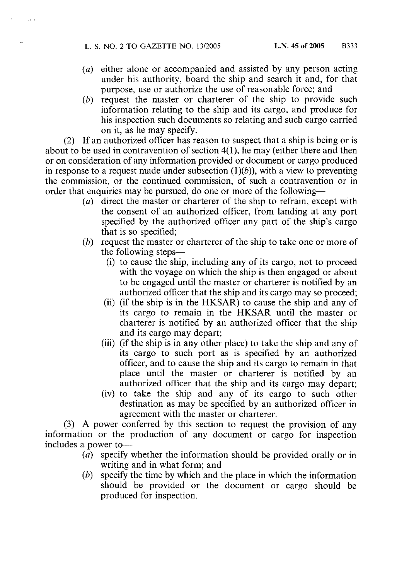- $(a)$  either alone or accompanied and assisted by any person acting under his authority, board the ship and search it and, for that purpose, use or authorize the use of reasonable force; and
- (b) request the master or charterer of the ship to provide such information relating to the ship and its cargo, and produce for his inspection such documents so relating and such cargo carried on it, as he may specify.

(2) If an authorized officer has reason to suspect that a ship is being or is about to be used in contravention of section  $4(1)$ , he may (either there and then or on consideration of any information provided or document or cargo produced in response to a request made under subsection  $(1)(b)$ ), with a view to preventing the commission, or the continued commission, of such a contravention or in order that enquiries may be pursued, do one or more of the following—

- (a) direct the master or charterer of the ship to refrain, except with the consent of an authorized officer, from landing at any port specified by the authorized officer any part of the ship's cargo that is so specified;
- (b) request the master or charterer of the ship to take one or more of the following steps—
	- (i) to cause the ship, including any of its cargo, not to proceed with the voyage on which the ship is then engaged or about to be engaged until the master or charterer is notified by an authorized officer that the ship and its cargo may so proceed;
	- (ii) (if the ship is in the HKSAR) to cause the ship and any of its cargo to remain in the HKSAR until the master or charterer is notified by an authorized officer that the ship and its cargo may depart;
	- (iii) (if the ship is in any other place) to take the ship and any of its cargo to such port as is specified by an authorized officer, and to cause the ship and its cargo to remain in that place until the master or charterer is notified by an authorized officer that the ship and its cargo may depart;
	- (iv) to take the ship and any of its cargo to such other destination as may be specified by an authorized officer in agreement with the master or charterer.

(3) A power conferred by this section to request the provision of any information or the production of any document or cargo for inspection includes a power to-

- specify whether the information should be provided orally or in  $(a)$ writing and in what form; and
- specify the time by which and the place in which the information  $(b)$ should be provided or the document or cargo should be produced for inspection.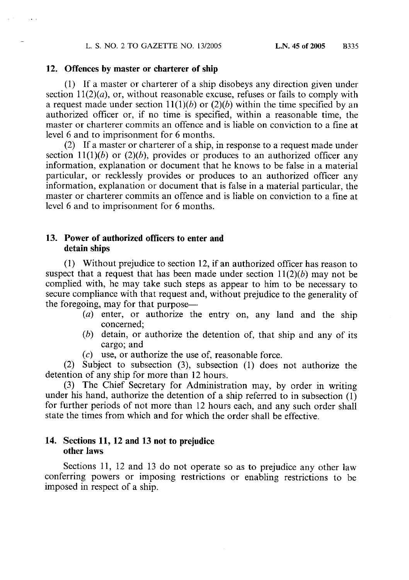### 12. Offences by master or charterer of ship

(1) If a master or charterer of a ship disobeys any direction given under section  $11(2)(a)$ , or, without reasonable excuse, refuses or fails to comply with a request made under section  $11(1)(b)$  or  $(2)(b)$  within the time specified by an authorized officer or, if no time is specified, within a reasonable time, the master or charterer commits an offence and is liable on conviction to a fine at level 6 and to imprisonment for 6 months.

(2) If a master or charterer of a ship, in response to a request made under section 11(1)(b) or (2)(b), provides or produces to an authorized officer any information, explanation or document that he knows to be false in a material particular, or recklessly provides or produces to an authorized officer any information, explanation or document that is false in a material particular, the master or charterer commits an offence and is liable on conviction to a fine at level 6 and to imprisonment for 6 months.

### 13. Power of authorized officers to enter and detain ships

(1) Without prejudice to section 12, if an authorized officer has reason to suspect that a request that has been made under section  $11(2)(b)$  may not be complied with, he may take such steps as appear to him to be necessary to secure compliance with that request and, without prejudice to the generality of the foregoing, may for that purpose—

- (a) enter, or authorize the entry on, any land and the ship concerned:
- (b) detain, or authorize the detention of, that ship and any of its cargo: and
- $(c)$  use, or authorize the use of, reasonable force.

(2) Subject to subsection (3), subsection (1) does not authorize the detention of any ship for more than 12 hours.

(3) The Chief Secretary for Administration may, by order in writing under his hand, authorize the detention of a ship referred to in subsection  $(1)$ for further periods of not more than 12 hours each, and any such order shall state the times from which and for which the order shall be effective.

### 14. Sections 11, 12 and 13 not to prejudice other laws

Sections 11, 12 and 13 do not operate so as to prejudice any other law conferring powers or imposing restrictions or enabling restrictions to be imposed in respect of a ship.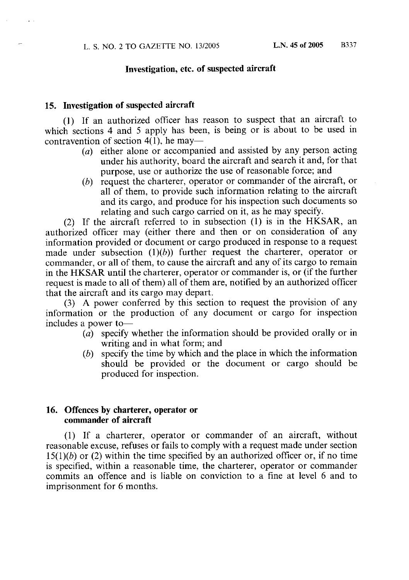### Investigation, etc. of suspected aircraft

### 15. Investigation of suspected aircraft

(1) If an authorized officer has reason to suspect that an aircraft to which sections 4 and 5 apply has been, is being or is about to be used in contravention of section 4(1), he may—

- (a) either alone or accompanied and assisted by any person acting under his authority, board the aircraft and search it and, for that purpose, use or authorize the use of reasonable force; and
- $(b)$  request the charterer, operator or commander of the aircraft, or all of them, to provide such information relating to the aircraft and its cargo, and produce for his inspection such documents so relating and such cargo carried on it, as he may specify.

(2) If the aircraft referred to in subsection (1) is in the HKSAR, an authorized officer may (either there and then or on consideration of any information provided or document or cargo produced in response to a request made under subsection  $(1)(b)$  further request the charterer, operator or commander, or all of them, to cause the aircraft and any of its cargo to remain in the HKSAR until the charterer, operator or commander is, or (if the further request is made to all of them) all of them are, notified by an authorized officer that the aircraft and its cargo may depart.

(3) A power conferred by this section to request the provision of any information or the production of any document or cargo for inspection includes a power to-

- $\overline{a}$  specify whether the information should be provided orally or in writing and in what form; and
- specify the time by which and the place in which the information  $(b)$ should be provided or the document or cargo should be produced for inspection.

### 16. Offences by charterer, operator or commander of aircraft

(1) If a charterer, operator or commander of an aircraft, without reasonable excuse, refuses or fails to comply with a request made under section  $15(1)(b)$  or (2) within the time specified by an authorized officer or, if no time is specified, within a reasonable time, the charterer, operator or commander commits an offence and is liable on conviction to a fine at level 6 and to imprisonment for 6 months.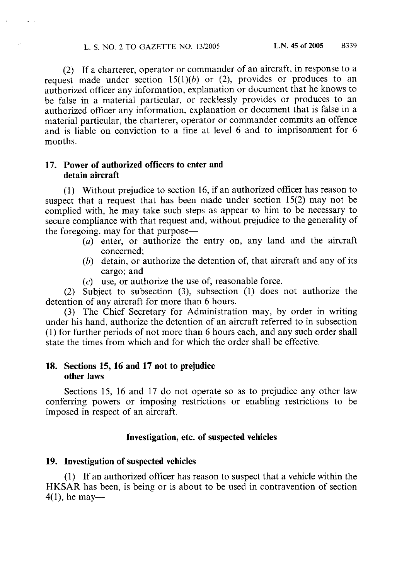(2) If a charterer, operator or commander of an aircraft, in response to a request made under section  $15(1)(b)$  or (2), provides or produces to an authorized officer any information, explanation or document that he knows to be false in a material particular, or recklessly provides or produces to an authorized officer any information, explanation or document that is false in a material particular, the charterer, operator or commander commits an offence and is liable on conviction to a fine at level 6 and to imprisonment for 6 months.

### 17. Power of authorized officers to enter and detain aircraft

(1) Without prejudice to section 16, if an authorized officer has reason to suspect that a request that has been made under section  $15(2)$  may not be complied with, he may take such steps as appear to him to be necessary to secure compliance with that request and, without prejudice to the generality of the foregoing, may for that purpose-

- (a) enter, or authorize the entry on, any land and the aircraft concerned:
- $(b)$  detain, or authorize the detention of, that aircraft and any of its cargo; and
- $(c)$  use, or authorize the use of, reasonable force.

(2) Subject to subsection (3), subsection (1) does not authorize the detention of any aircraft for more than 6 hours.

(3) The Chief Secretary for Administration may, by order in writing under his hand, authorize the detention of an aircraft referred to in subsection (1) for further periods of not more than 6 hours each, and any such order shall state the times from which and for which the order shall be effective.

### 18. Sections 15, 16 and 17 not to prejudice other laws

Sections 15, 16 and 17 do not operate so as to prejudice any other law conferring powers or imposing restrictions or enabling restrictions to be imposed in respect of an aircraft.

### Investigation, etc. of suspected vehicles

### 19. Investigation of suspected vehicles

(1) If an authorized officer has reason to suspect that a vehicle within the HKSAR has been, is being or is about to be used in contravention of section  $4(1)$ , he may—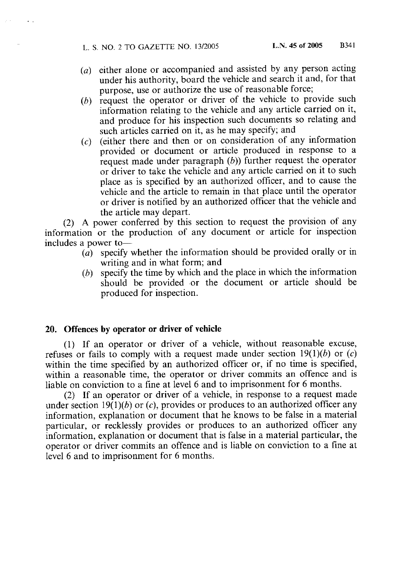- (a) either alone or accompanied and assisted by any person acting under his authority, board the vehicle and search it and, for that purpose, use or authorize the use of reasonable force;
- (b) request the operator or driver of the vehicle to provide such information relating to the vehicle and any article carried on it, and produce for his inspection such documents so relating and such articles carried on it, as he may specify; and
- $(c)$  (either there and then or on consideration of any information provided or document or article produced in response to a request made under paragraph  $(b)$ ) further request the operator or driver to take the vehicle and any article carried on it to such place as is specified by an authorized officer, and to cause the vehicle and the article to remain in that place until the operator or driver is notified by an authorized officer that the vehicle and the article may depart.

(2) A power conferred by this section to request the provision of any information or the production of any document or article for inspection includes a power to-

- specify whether the information should be provided orally or in  $(a)$ writing and in what form; and
- specify the time by which and the place in which the information  $(b)$ should be provided or the document or article should be produced for inspection.

### 20. Offences by operator or driver of vehicle

(1) If an operator or driver of a vehicle, without reasonable excuse, refuses or fails to comply with a request made under section  $19(1)(b)$  or  $(c)$ within the time specified by an authorized officer or, if no time is specified, within a reasonable time, the operator or driver commits an offence and is liable on conviction to a fine at level 6 and to imprisonment for 6 months.

(2) If an operator or driver of a vehicle, in response to a request made under section 19(1)(b) or (c), provides or produces to an authorized officer any information, explanation or document that he knows to be false in a material particular, or recklessly provides or produces to an authorized officer any information, explanation or document that is false in a material particular, the operator or driver commits an offence and is liable on conviction to a fine at level 6 and to imprisonment for 6 months.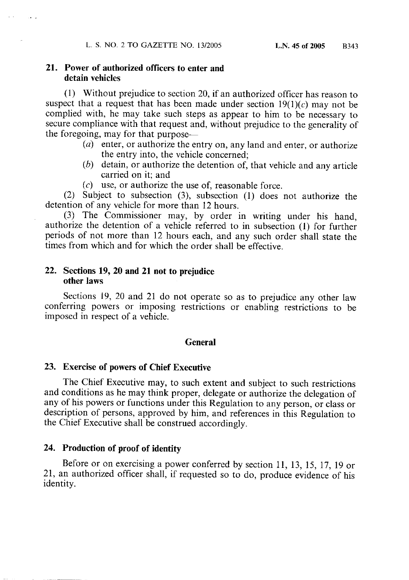### 21. Power of authorized officers to enter and detain vehicles

(1) Without prejudice to section 20, if an authorized officer has reason to suspect that a request that has been made under section  $19(1)(c)$  may not be complied with, he may take such steps as appear to him to be necessary to secure compliance with that request and, without prejudice to the generality of the foregoing, may for that purpose—

- (a) enter, or authorize the entry on, any land and enter, or authorize the entry into, the vehicle concerned;
- $(b)$  detain, or authorize the detention of, that vehicle and any article carried on it: and
- $(c)$  use, or authorize the use of, reasonable force.

(2) Subject to subsection (3), subsection (1) does not authorize the detention of any vehicle for more than 12 hours.

(3) The Commissioner may, by order in writing under his hand, authorize the detention of a vehicle referred to in subsection (1) for further periods of not more than 12 hours each, and any such order shall state the times from which and for which the order shall be effective.

### 22. Sections 19, 20 and 21 not to prejudice other laws

Sections 19, 20 and 21 do not operate so as to prejudice any other law conferring powers or imposing restrictions or enabling restrictions to be imposed in respect of a vehicle.

### **General**

### 23. Exercise of powers of Chief Executive

The Chief Executive may, to such extent and subject to such restrictions and conditions as he may think proper, delegate or authorize the delegation of any of his powers or functions under this Regulation to any person, or class or description of persons, approved by him, and references in this Regulation to the Chief Executive shall be construed accordingly.

### 24. Production of proof of identity

Before or on exercising a power conferred by section 11, 13, 15, 17, 19 or 21, an authorized officer shall, if requested so to do, produce evidence of his identity.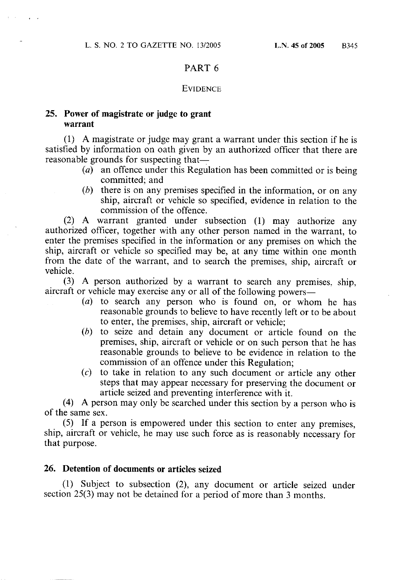### PART<sub>6</sub>

### **EVIDENCE**

### 25. Power of magistrate or judge to grant warrant

(1) A magistrate or judge may grant a warrant under this section if he is satisfied by information on oath given by an authorized officer that there are reasonable grounds for suspecting that—

- $(a)$  an offence under this Regulation has been committed or is being committed: and
- $(b)$  there is on any premises specified in the information, or on any ship, aircraft or vehicle so specified, evidence in relation to the commission of the offence.

(2) A warrant granted under subsection (1) may authorize any authorized officer, together with any other person named in the warrant, to enter the premises specified in the information or any premises on which the ship, aircraft or vehicle so specified may be, at any time within one month from the date of the warrant, and to search the premises, ship, aircraft or vehicle.

(3) A person authorized by a warrant to search any premises, ship, aircraft or vehicle may exercise any or all of the following powers—

- $(a)$  to search any person who is found on, or whom he has reasonable grounds to believe to have recently left or to be about to enter, the premises, ship, aircraft or vehicle;
- $(b)$  to seize and detain any document or article found on the premises, ship, aircraft or vehicle or on such person that he has reasonable grounds to believe to be evidence in relation to the commission of an offence under this Regulation;
- $(c)$  to take in relation to any such document or article any other steps that may appear necessary for preserving the document or article seized and preventing interference with it.

(4) A person may only be searched under this section by a person who is of the same sex.

(5) If a person is empowered under this section to enter any premises, ship, aircraft or vehicle, he may use such force as is reasonably necessary for that purpose.

### 26. Detention of documents or articles seized

(1) Subject to subsection (2), any document or article seized under section 25(3) may not be detained for a period of more than 3 months.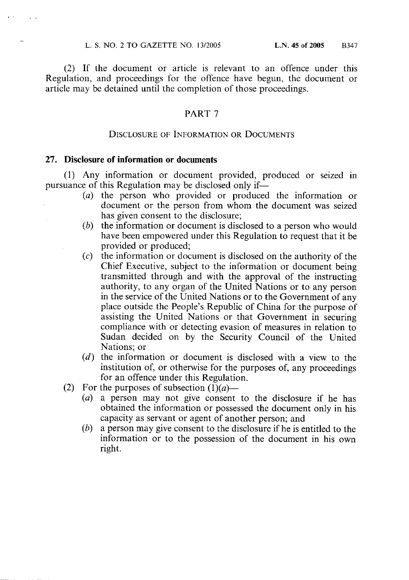(2) If the document or article is relevant to an offence under this Regulation, and proceedings for the offence have begun, the document or article may be detained until the completion of those proceedings.

### PART<sub>7</sub>

### **DISCLOSURE OF INFORMATION OR DOCUMENTS**

### 27. Disclosure of information or documents

(1) Any information or document provided, produced or seized in pursuance of this Regulation may be disclosed only if—

- (a) the person who provided or produced the information or document or the person from whom the document was seized has given consent to the disclosure:
- the information or document is disclosed to a person who would  $(b)$ have been empowered under this Regulation to request that it be provided or produced;
- the information or document is disclosed on the authority of the  $(c)$ Chief Executive, subject to the information or document being transmitted through and with the approval of the instructing authority, to any organ of the United Nations or to any person in the service of the United Nations or to the Government of any place outside the People's Republic of China for the purpose of assisting the United Nations or that Government in securing compliance with or detecting evasion of measures in relation to Sudan decided on by the Security Council of the United Nations: or
- $(d)$  the information or document is disclosed with a view to the institution of, or otherwise for the purposes of, any proceedings for an offence under this Regulation.
- For the purposes of subsection  $(1)(a)$   $(2)$ 
	- (a) a person may not give consent to the disclosure if he has obtained the information or possessed the document only in his capacity as servant or agent of another person; and
	- $(b)$ a person may give consent to the disclosure if he is entitled to the information or to the possession of the document in his own right.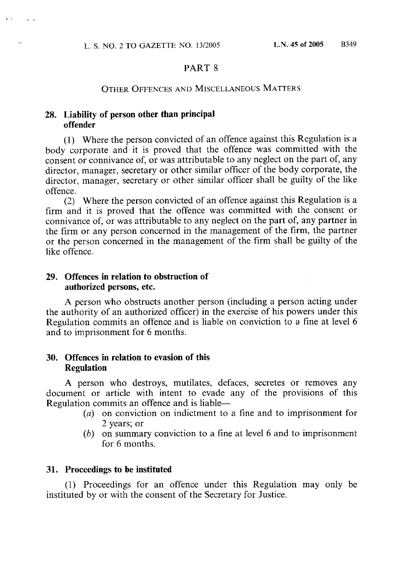### PART<sub>8</sub>

### OTHER OFFENCES AND MISCELLANEOUS MATTERS

## 28. Liability of person other than principal offender

(1) Where the person convicted of an offence against this Regulation is a body corporate and it is proved that the offence was committed with the consent or connivance of, or was attributable to any neglect on the part of, any director, manager, secretary or other similar officer of the body corporate, the director, manager, secretary or other similar officer shall be guilty of the like offence.

(2) Where the person convicted of an offence against this Regulation is a firm and it is proved that the offence was committed with the consent or connivance of, or was attributable to any neglect on the part of, any partner in the firm or any person concerned in the management of the firm, the partner or the person concerned in the management of the firm shall be guilty of the like offence.

### 29. Offences in relation to obstruction of authorized persons, etc.

A person who obstructs another person (including a person acting under the authority of an authorized officer) in the exercise of his powers under this Regulation commits an offence and is liable on conviction to a fine at level 6 and to imprisonment for 6 months.

### 30. Offences in relation to evasion of this **Regulation**

A person who destroys, mutilates, defaces, secretes or removes any document or article with intent to evade any of the provisions of this Regulation commits an offence and is liable—

- $(a)$  on conviction on indictment to a fine and to imprisonment for 2 years; or
- $(b)$  on summary conviction to a fine at level 6 and to imprisonment for 6 months.

### 31. Proceedings to be instituted

(1) Proceedings for an offence under this Regulation may only be instituted by or with the consent of the Secretary for Justice.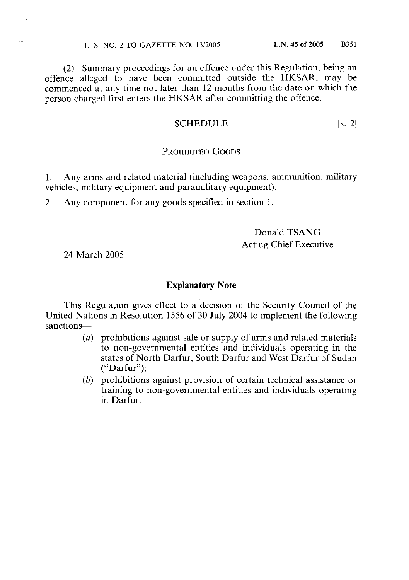(2) Summary proceedings for an offence under this Regulation, being an offence alleged to have been committed outside the HKSAR, may be commenced at any time not later than 12 months from the date on which the person charged first enters the HKSAR after committing the offence.

#### $\left[ \text{s. 2} \right]$ **SCHEDULE**

### PROHIBITED GOODS

 $1<sup>1</sup>$ Any arms and related material (including weapons, ammunition, military vehicles, military equipment and paramilitary equipment).

 $2.$ Any component for any goods specified in section 1.

## Donald TSANG **Acting Chief Executive**

24 March 2005

 $\mathbf{1}$  ,  $\mathbf{1}$ 

### **Explanatory Note**

This Regulation gives effect to a decision of the Security Council of the United Nations in Resolution 1556 of 30 July 2004 to implement the following sanctions-

- (a) prohibitions against sale or supply of arms and related materials to non-governmental entities and individuals operating in the states of North Darfur, South Darfur and West Darfur of Sudan  $("Darfur").$
- (b) prohibitions against provision of certain technical assistance or training to non-governmental entities and individuals operating in Darfur.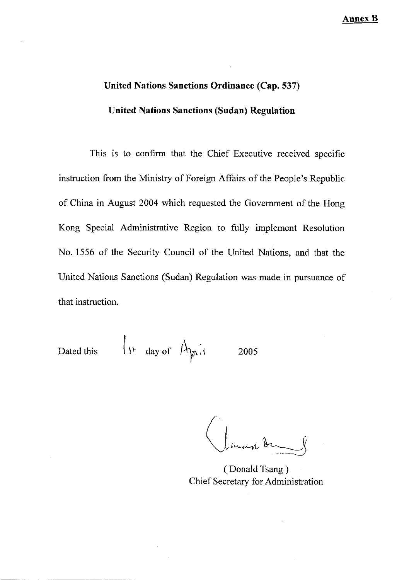# **United Nations Sanctions Ordinance (Cap. 537) United Nations Sanctions (Sudan) Regulation**

This is to confirm that the Chief Executive received specific instruction from the Ministry of Foreign Affairs of the People's Republic of China in August 2004 which requested the Government of the Hong Kong Special Administrative Region to fully implement Resolution No. 1556 of the Security Council of the United Nations, and that the United Nations Sanctions (Sudan) Regulation was made in pursuance of that instruction.

Dated this 
$$
\|y\|
$$
 day of  $\|y\|_1$  2005

(Donald Tsang) Chief Secretary for Administration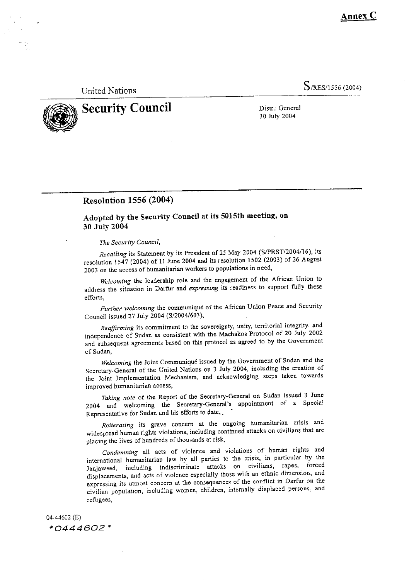Annex  ${\bf C}$ 

**United Nations** 

S/RES/1556 (2004)



**Security Council** 

Distr.: General 30 July 2004

### **Resolution 1556 (2004)**

Adopted by the Security Council at its 5015th meeting, on 30 July 2004

The Security Council,

Recalling its Statement by its President of 25 May 2004 (S/PRST/2004/16), its resolution 1547 (2004) of 11 June 2004 and its resolution 1502 (2003) of 26 August 2003 on the access of humanitarian workers to populations in need,

Welcoming the leadership role and the engagement of the African Union to address the situation in Darfur and expressing its readiness to support fully these efforts,

Further welcoming the communiqué of the African Union Peace and Security Council issued 27 July 2004 (S/2004/603),

Reaffirming its commitment to the sovereignty, unity, territorial integrity, and independence of Sudan as consistent with the Machakos Protocol of 20 July 2002 and subsequent agreements based on this protocol as agreed to by the Government of Sudan,

Welcoming the Joint Communiqué issued by the Government of Sudan and the Secretary-General of the United Nations on 3 July 2004, including the creation of the Joint Implementation Mechanism, and acknowledging steps taken towards improved humanitarian access,

Taking note of the Report of the Secretary-General on Sudan issued 3 June 2004 and welcoming the Secretary-General's appointment of a Special Representative for Sudan and his efforts to date,.

Reiterating its grave concern at the ongoing humanitarian crisis and widespread human rights violations, including continued attacks on civilians that are placing the lives of hundreds of thousands at risk,

Condemning all acts of violence and violations of human rights and international humanitarian law by all parties to the crisis, in particular by the Janjaweed, including indiscriminate attacks on civilians, rapes, forced displacements, and acts of violence especially those with an ethnic dimension, and expressing its utmost concern at the consequences of the conflict in Darfur on the civilian population, including women, children, internally displaced persons, and refugees,

04-44602 (E) \*0444602\*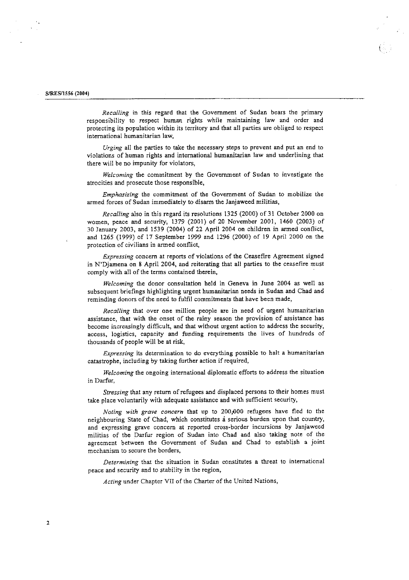#### S/RES/1556 (2004)

Recalling in this regard that the Government of Sudan bears the primary responsibility to respect human rights while maintaining law and order and protecting its population within its territory and that all parties are obliged to respect international humanitarian law,

Urging all the parties to take the necessary steps to prevent and put an end to violations of human rights and international humanitarian law and underlining that there will be no impunity for violators,

Welcoming the commitment by the Government of Sudan to investigate the atrocities and prosecute those responsible,

Emphasizing the commitment of the Government of Sudan to mobilize the armed forces of Sudan immediately to disarm the Janjaweed militias,

Recalling also in this regard its resolutions 1325 (2000) of 31 October 2000 on women, peace and security, 1379 (2001) of 20 November 2001, 1460 (2003) of 30 January 2003, and 1539 (2004) of 22 April 2004 on children in armed conflict, and 1265 (1999) of 17 September 1999 and 1296 (2000) of 19 April 2000 on the protection of civilians in armed conflict,

Expressing concern at reports of violations of the Ceasefire Agreement signed in N'Djamena on 8 April 2004, and reiterating that all parties to the ceasefire must comply with all of the terms contained therein,

Welcoming the donor consultation held in Geneva in June 2004 as well as subsequent briefings highlighting urgent humanitarian needs in Sudan and Chad and reminding donors of the need to fulfil commitments that have been made,

Recalling that over one million people are in need of urgent humanitarian assistance, that with the onset of the rainy season the provision of assistance has become increasingly difficult, and that without urgent action to address the security, access, logistics, capacity and funding requirements the lives of hundreds of thousands of people will be at risk,

Expressing its determination to do everything possible to halt a humanitarian catastrophe, including by taking further action if required,

Welcoming the ongoing international diplomatic efforts to address the situation in Darfur,

Stressing that any return of refugees and displaced persons to their homes must take place voluntarily with adequate assistance and with sufficient security,

Noting with grave concern that up to 200,000 refugees have fled to the neighbouring State of Chad, which constitutes a serious burden upon that country, and expressing grave concern at reported cross-border incursions by Janjaweed militias of the Darfur region of Sudan into Chad and also taking note of the agreement between the Government of Sudan and Chad to establish a joint mechanism to secure the borders,

Determining that the situation in Sudan constitutes a threat to international peace and security and to stability in the region,

Acting under Chapter VII of the Charter of the United Nations,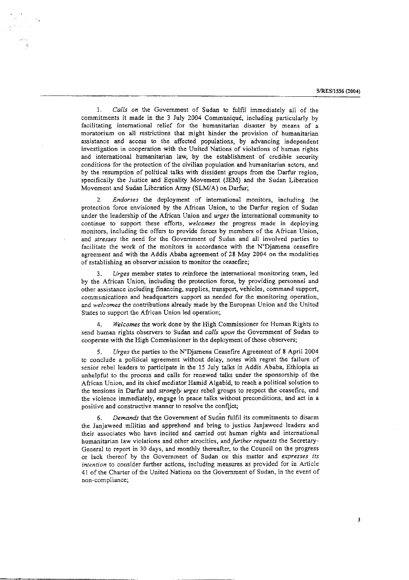S/RES/1556 (2004)

 $\mathbf{1}$ Calls on the Government of Sudan to fulfil immediately all of the commitments it made in the 3 July 2004 Communiqué, including particularly by facilitating international relief for the humanitarian disaster by means of a moratorium on all restrictions that might hinder the provision of humanitarian assistance and access to the affected populations, by advancing independent investigation in cooperation with the United Nations of violations of human rights and international humanitarian law, by the establishment of credible security conditions for the protection of the civilian population and humanitarian actors, and by the resumption of political talks with dissident groups from the Darfur region, specifically the Justice and Equality Movement (JEM) and the Sudan Liberation Movement and Sudan Liberation Army (SLM/A) on Darfur:

Endorses the deployment of international monitors, including the protection force envisioned by the African Union, to the Darfur region of Sudan under the leadership of the African Union and urges the international community to continue to support these efforts, welcomes the progress made in deploying monitors, including the offers to provide forces by members of the African Union, and stresses the need for the Government of Sudan and all involved parties to facilitate the work of the monitors in accordance with the N'Djamena ceasefire agreement and with the Addis Ababa agreement of 28 May 2004 on the modalities of establishing an observer mission to monitor the ceasefire;

Urges member states to reinforce the international monitoring team, led by the African Union, including the protection force, by providing personnel and other assistance including financing, supplies, transport, vehicles, command support, communications and headquarters support as needed for the monitoring operation, and welcomes the contributions already made by the European Union and the United States to support the African Union led operation;

Welcomes the work done by the High Commissioner for Human Rights to send human rights observers to Sudan and calls upon the Government of Sudan to cooperate with the High Commissioner in the deployment of those observers;

Urges the parties to the N'Djamena Ceasefire Agreement of 8 April 2004 to conclude a political agreement without delay, notes with regret the failure of senior rebel leaders to participate in the 15 July talks in Addis Ababa, Ethiopia as unhelpful to the process and calls for renewed talks under the sponsorship of the African Union, and its chief mediator Hamid Algabid, to reach a political solution to the tensions in Darfur and strongly urges rebel groups to respect the ceasefire, end the violence immediately, engage in peace talks without preconditions, and act in a positive and constructive manner to resolve the conflict;

Demands that the Government of Sudan fulfil its commitments to disarm 6. the Janjaweed militias and apprehend and bring to justice Janjaweed leaders and their associates who have incited and carried out human rights and international humanitarian law violations and other atrocities, and further requests the Secretary-General to report in 30 days, and monthly thereafter, to the Council on the progress or lack thereof by the Government of Sudan on this matter and expresses its intention to consider further actions, including measures as provided for in Article 41 of the Charter of the United Nations on the Government of Sudan, in the event of non-compliance;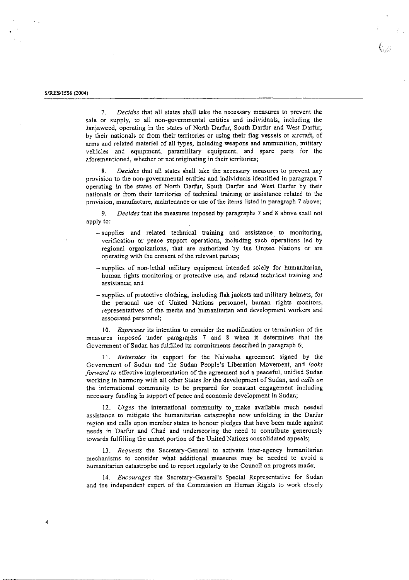$\boldsymbol{4}$ 

Decides that all states shall take the necessary measures to prevent the 7. sale or supply, to all non-governmental entities and individuals, including the Janjaweed, operating in the states of North Darfur, South Darfur and West Darfur, by their nationals or from their territories or using their flag vessels or aircraft, of arms and related materiel of all types, including weapons and ammunition, military vehicles and equipment, paramilitary equipment, and spare parts for the aforementioned, whether or not originating in their territories;

Decides that all states shall take the necessary measures to prevent any  $\mathbf{R}$ . provision to the non-governmental entities and individuals identified in paragraph 7 operating in the states of North Darfur, South Darfur and West Darfur by their nationals or from their territories of technical training or assistance related to the provision, manufacture, maintenance or use of the items listed in paragraph 7 above;

Decides that the measures imposed by paragraphs 7 and 8 above shall not 9. apply to:

- supplies and related technical training and assistance to monitoring, verification or peace support operations, including such operations led by regional organizations, that are authorized by the United Nations or are operating with the consent of the relevant parties;
- supplies of non-lethal military equipment intended solely for humanitarian, human rights monitoring or protective use, and related technical training and assistance; and
- supplies of protective clothing, including flak jackets and military helmets, for the personal use of United Nations personnel, human rights monitors, representatives of the media and humanitarian and development workers and associated personnel;

10. Expresses its intention to consider the modification or termination of the measures imposed under paragraphs 7 and 8 when it determines that the Government of Sudan has fulfilled its commitments described in paragraph 6;

11. Reiterates its support for the Naivasha agreement signed by the Government of Sudan and the Sudan People's Liberation Movement, and looks forward to effective implementation of the agreement and a peaceful, unified Sudan working in harmony with all other States for the development of Sudan, and calls on the international community to be prepared for constant engagement including necessary funding in support of peace and economic development in Sudan;

12. Urges the international community to make available much needed assistance to mitigate the humanitarian catastrophe now unfolding in the Darfur region and calls upon member states to honour pledges that have been made against needs in Darfur and Chad and underscoring the need to contribute generously towards fulfilling the unmet portion of the United Nations consolidated appeals;

13. Requests the Secretary-General to activate inter-agency humanitarian mechanisms to consider what additional measures may be needed to avoid a humanitarian catastrophe and to report regularly to the Council on progress made;

14. Encourages the Secretary-General's Special Representative for Sudan and the independent expert of the Commission on Human Rights to work closely